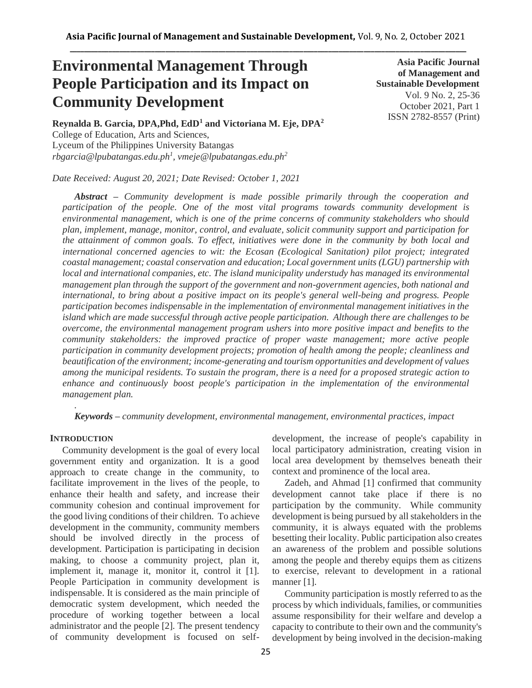# **Environmental Management Through People Participation and its Impact on Community Development**

**Asia Pacific Journal of Management and Sustainable Development**  Vol. 9 No. 2, 25-36 October 2021, Part 1 ISSN 2782-8557 (Print)

**Reynalda B. Garcia, DPA,Phd, EdD<sup>1</sup> and Victoriana M. Eje, DPA<sup>2</sup>** College of Education, Arts and Sciences, Lyceum of the Philippines University Batangas *rbgarcia@lpubatangas.edu.ph<sup>1</sup> , vmeje@lpubatangas.edu.ph<sup>2</sup>*

*Date Received: August 20, 2021; Date Revised: October 1, 2021*

*Abstract – Community development is made possible primarily through the cooperation and participation of the people. One of the most vital programs towards community development is environmental management, which is one of the prime concerns of community stakeholders who should plan, implement, manage, monitor, control, and evaluate, solicit community support and participation for the attainment of common goals. To effect, initiatives were done in the community by both local and international concerned agencies to wit: the Ecosan (Ecological Sanitation) pilot project; integrated coastal management; coastal conservation and education; Local government units (LGU) partnership with local and international companies, etc. The island municipality understudy has managed its environmental management plan through the support of the government and non-government agencies, both national and international, to bring about a positive impact on its people's general well-being and progress. People participation becomes indispensable in the implementation of environmental management initiatives in the island which are made successful through active people participation. Although there are challenges to be overcome, the environmental management program ushers into more positive impact and benefits to the community stakeholders: the improved practice of proper waste management; more active people participation in community development projects; promotion of health among the people; cleanliness and beautification of the environment; income-generating and tourism opportunities and development of values among the municipal residents. To sustain the program, there is a need for a proposed strategic action to enhance and continuously boost people's participation in the implementation of the environmental management plan.*

*Keywords – community development, environmental management, environmental practices, impact*

#### **INTRODUCTION**

*.*

Community development is the goal of every local government entity and organization. It is a good approach to create change in the community, to facilitate improvement in the lives of the people, to enhance their health and safety, and increase their community cohesion and continual improvement for the good living conditions of their children. To achieve development in the community, community members should be involved directly in the process of development. Participation is participating in decision making, to choose a community project, plan it, implement it, manage it, monitor it, control it [1]. People Participation in community development is indispensable. It is considered as the main principle of democratic system development, which needed the procedure of working together between a local administrator and the people [2]. The present tendency of community development is focused on selfdevelopment, the increase of people's capability in local participatory administration, creating vision in local area development by themselves beneath their context and prominence of the local area.

Zadeh, and Ahmad [1] confirmed that community development cannot take place if there is no participation by the community. While community development is being pursued by all stakeholders in the community, it is always equated with the problems besetting their locality. Public participation also creates an awareness of the problem and possible solutions among the people and thereby equips them as citizens to exercise, relevant to development in a rational manner [1].

Community participation is mostly referred to as the process by which individuals, families, or communities assume responsibility for their welfare and develop a capacity to contribute to their own and the community's development by being involved in the decision-making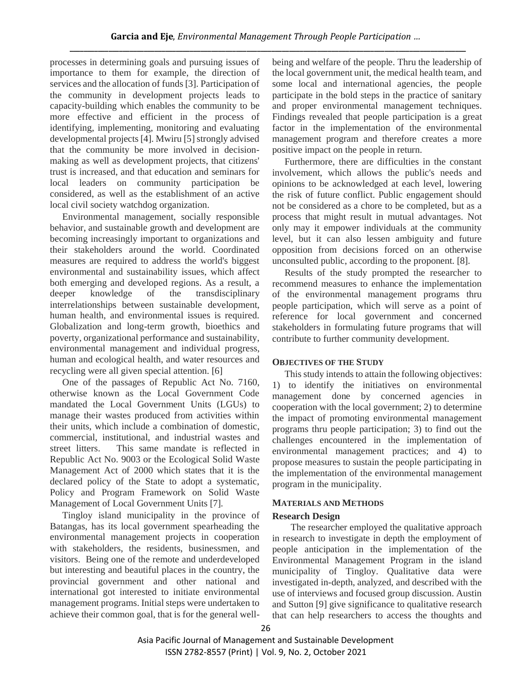processes in determining goals and pursuing issues of importance to them for example, the direction of services and the allocation of funds [3]. Participation of the community in development projects leads to capacity-building which enables the community to be more effective and efficient in the process of identifying, implementing, monitoring and evaluating developmental projects [4]. Mwiru [5] strongly advised that the community be more involved in decisionmaking as well as development projects, that citizens' trust is increased, and that education and seminars for local leaders on community participation be considered, as well as the establishment of an active local civil society watchdog organization.

Environmental management, socially responsible behavior, and sustainable growth and development are becoming increasingly important to organizations and their stakeholders around the world. Coordinated measures are required to address the world's biggest environmental and sustainability issues, which affect both emerging and developed regions. As a result, a deeper knowledge of the transdisciplinary interrelationships between sustainable development, human health, and environmental issues is required. Globalization and long-term growth, bioethics and poverty, organizational performance and sustainability, environmental management and individual progress, human and ecological health, and water resources and recycling were all given special attention. [6]

One of the passages of Republic Act No. 7160, otherwise known as the Local Government Code mandated the Local Government Units (LGUs) to manage their wastes produced from activities within their units, which include a combination of domestic, commercial, institutional, and industrial wastes and street litters. This same mandate is reflected in Republic Act No. 9003 or the Ecological Solid Waste Management Act of 2000 which states that it is the declared policy of the State to adopt a systematic, Policy and Program Framework on Solid Waste Management of Local Government Units [7].

Tingloy island municipality in the province of Batangas, has its local government spearheading the environmental management projects in cooperation with stakeholders, the residents, businessmen, and visitors. Being one of the remote and underdeveloped but interesting and beautiful places in the country, the provincial government and other national and international got interested to initiate environmental management programs. Initial steps were undertaken to achieve their common goal, that is for the general wellbeing and welfare of the people. Thru the leadership of the local government unit, the medical health team, and some local and international agencies, the people participate in the bold steps in the practice of sanitary and proper environmental management techniques. Findings revealed that people participation is a great factor in the implementation of the environmental management program and therefore creates a more positive impact on the people in return.

Furthermore, there are difficulties in the constant involvement, which allows the public's needs and opinions to be acknowledged at each level, lowering the risk of future conflict. Public engagement should not be considered as a chore to be completed, but as a process that might result in mutual advantages. Not only may it empower individuals at the community level, but it can also lessen ambiguity and future opposition from decisions forced on an otherwise unconsulted public, according to the proponent. [8].

Results of the study prompted the researcher to recommend measures to enhance the implementation of the environmental management programs thru people participation, which will serve as a point of reference for local government and concerned stakeholders in formulating future programs that will contribute to further community development.

## **OBJECTIVES OF THE STUDY**

This study intends to attain the following objectives: 1) to identify the initiatives on environmental management done by concerned agencies in cooperation with the local government; 2) to determine the impact of promoting environmental management programs thru people participation; 3) to find out the challenges encountered in the implementation of environmental management practices; and 4) to propose measures to sustain the people participating in the implementation of the environmental management program in the municipality.

## **MATERIALS AND METHODS**

## **Research Design**

The researcher employed the qualitative approach in research to investigate in depth the employment of people anticipation in the implementation of the Environmental Management Program in the island municipality of Tingloy. Qualitative data were investigated in-depth, analyzed, and described with the use of interviews and focused group discussion. Austin and Sutton [9] give significance to qualitative research that can help researchers to access the thoughts and

Asia Pacific Journal of Management and Sustainable Development ISSN 2782-8557 (Print) | Vol. 9, No. 2, October 2021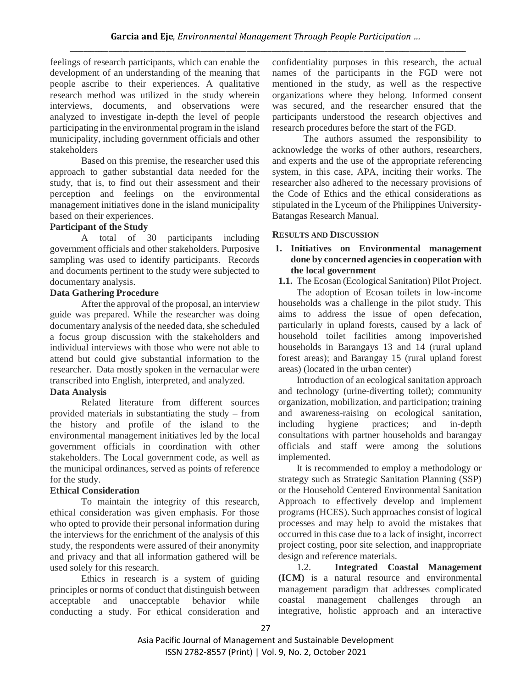feelings of research participants, which can enable the development of an understanding of the meaning that people ascribe to their experiences. A qualitative research method was utilized in the study wherein interviews, documents, and observations were analyzed to investigate in-depth the level of people participating in the environmental program in the island municipality, including government officials and other stakeholders

Based on this premise, the researcher used this approach to gather substantial data needed for the study, that is, to find out their assessment and their perception and feelings on the environmental management initiatives done in the island municipality based on their experiences.

# **Participant of the Study**

A total of 30 participants including government officials and other stakeholders. Purposive sampling was used to identify participants. Records and documents pertinent to the study were subjected to documentary analysis.

# **Data Gathering Procedure**

After the approval of the proposal, an interview guide was prepared. While the researcher was doing documentary analysis of the needed data, she scheduled a focus group discussion with the stakeholders and individual interviews with those who were not able to attend but could give substantial information to the researcher. Data mostly spoken in the vernacular were transcribed into English, interpreted, and analyzed.

# **Data Analysis**

Related literature from different sources provided materials in substantiating the study – from the history and profile of the island to the environmental management initiatives led by the local government officials in coordination with other stakeholders. The Local government code, as well as the municipal ordinances, served as points of reference for the study.

# **Ethical Consideration**

To maintain the integrity of this research, ethical consideration was given emphasis. For those who opted to provide their personal information during the interviews for the enrichment of the analysis of this study, the respondents were assured of their anonymity and privacy and that all information gathered will be used solely for this research.

Ethics in research is a system of guiding principles or norms of conduct that distinguish between acceptable and unacceptable behavior while conducting a study. For ethical consideration and

confidentiality purposes in this research, the actual names of the participants in the FGD were not mentioned in the study, as well as the respective organizations where they belong. Informed consent was secured, and the researcher ensured that the participants understood the research objectives and research procedures before the start of the FGD.

The authors assumed the responsibility to acknowledge the works of other authors, researchers, and experts and the use of the appropriate referencing system, in this case, APA, inciting their works. The researcher also adhered to the necessary provisions of the Code of Ethics and the ethical considerations as stipulated in the Lyceum of the Philippines University-Batangas Research Manual.

# **RESULTS AND DISCUSSION**

# **1. Initiatives on Environmental management done by concerned agencies in cooperation with the local government**

**1.1.** The Ecosan (Ecological Sanitation) Pilot Project.

The adoption of Ecosan toilets in low-income households was a challenge in the pilot study. This aims to address the issue of open defecation, particularly in upland forests, caused by a lack of household toilet facilities among impoverished households in Barangays 13 and 14 (rural upland forest areas); and Barangay 15 (rural upland forest areas) (located in the urban center)

Introduction of an ecological sanitation approach and technology (urine-diverting toilet); community organization, mobilization, and participation; training and awareness-raising on ecological sanitation, including hygiene practices; and in-depth consultations with partner households and barangay officials and staff were among the solutions implemented.

It is recommended to employ a methodology or strategy such as Strategic Sanitation Planning (SSP) or the Household Centered Environmental Sanitation Approach to effectively develop and implement programs (HCES). Such approaches consist of logical processes and may help to avoid the mistakes that occurred in this case due to a lack of insight, incorrect project costing, poor site selection, and inappropriate design and reference materials.

1.2. **Integrated Coastal Management (ICM)** is a natural resource and environmental management paradigm that addresses complicated coastal management challenges through an integrative, holistic approach and an interactive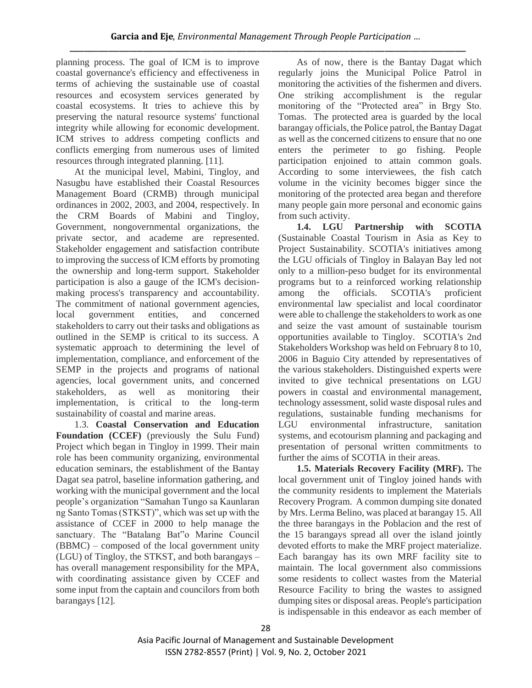planning process. The goal of ICM is to improve coastal governance's efficiency and effectiveness in terms of achieving the sustainable use of coastal resources and ecosystem services generated by coastal ecosystems. It tries to achieve this by preserving the natural resource systems' functional integrity while allowing for economic development. ICM strives to address competing conflicts and conflicts emerging from numerous uses of limited resources through integrated planning. [11].

At the municipal level, Mabini, Tingloy, and Nasugbu have established their Coastal Resources Management Board (CRMB) through municipal ordinances in 2002, 2003, and 2004, respectively. In the CRM Boards of Mabini and Tingloy, Government, nongovernmental organizations, the private sector, and academe are represented. Stakeholder engagement and satisfaction contribute to improving the success of ICM efforts by promoting the ownership and long-term support. Stakeholder participation is also a gauge of the ICM's decisionmaking process's transparency and accountability. The commitment of national government agencies, local government entities, and concerned stakeholders to carry out their tasks and obligations as outlined in the SEMP is critical to its success. A systematic approach to determining the level of implementation, compliance, and enforcement of the SEMP in the projects and programs of national agencies, local government units, and concerned stakeholders, as well as monitoring their implementation, is critical to the long-term sustainability of coastal and marine areas.

1.3. **Coastal Conservation and Education Foundation (CCEF)** (previously the Sulu Fund) Project which began in Tingloy in 1999. Their main role has been community organizing, environmental education seminars, the establishment of the Bantay Dagat sea patrol, baseline information gathering, and working with the municipal government and the local people's organization "Samahan Tungo sa Kaunlaran ng Santo Tomas (STKST)", which was set up with the assistance of CCEF in 2000 to help manage the sanctuary. The "Batalang Bat"o Marine Council (BBMC) – composed of the local government unity (LGU) of Tingloy, the STKST, and both barangays – has overall management responsibility for the MPA, with coordinating assistance given by CCEF and some input from the captain and councilors from both barangays [12].

As of now, there is the Bantay Dagat which regularly joins the Municipal Police Patrol in monitoring the activities of the fishermen and divers. One striking accomplishment is the regular monitoring of the "Protected area" in Brgy Sto. Tomas. The protected area is guarded by the local barangay officials, the Police patrol, the Bantay Dagat as well as the concerned citizens to ensure that no one enters the perimeter to go fishing. People participation enjoined to attain common goals. According to some interviewees, the fish catch volume in the vicinity becomes bigger since the monitoring of the protected area began and therefore many people gain more personal and economic gains from such activity.

**1.4. LGU Partnership with SCOTIA** (Sustainable Coastal Tourism in Asia as Key to Project Sustainability. SCOTIA's initiatives among the LGU officials of Tingloy in Balayan Bay led not only to a million-peso budget for its environmental programs but to a reinforced working relationship among the officials. SCOTIA's proficient environmental law specialist and local coordinator were able to challenge the stakeholders to work as one and seize the vast amount of sustainable tourism opportunities available to Tingloy. SCOTIA's 2nd Stakeholders Workshop was held on February 8 to 10, 2006 in Baguio City attended by representatives of the various stakeholders. Distinguished experts were invited to give technical presentations on LGU powers in coastal and environmental management, technology assessment, solid waste disposal rules and regulations, sustainable funding mechanisms for LGU environmental infrastructure, sanitation systems, and ecotourism planning and packaging and presentation of personal written commitments to further the aims of SCOTIA in their areas.

**1.5. Materials Recovery Facility (MRF).** The local government unit of Tingloy joined hands with the community residents to implement the Materials Recovery Program. A common dumping site donated by Mrs. Lerma Belino, was placed at barangay 15. All the three barangays in the Poblacion and the rest of the 15 barangays spread all over the island jointly devoted efforts to make the MRF project materialize. Each barangay has its own MRF facility site to maintain. The local government also commissions some residents to collect wastes from the Material Resource Facility to bring the wastes to assigned dumping sites or disposal areas. People's participation is indispensable in this endeavor as each member of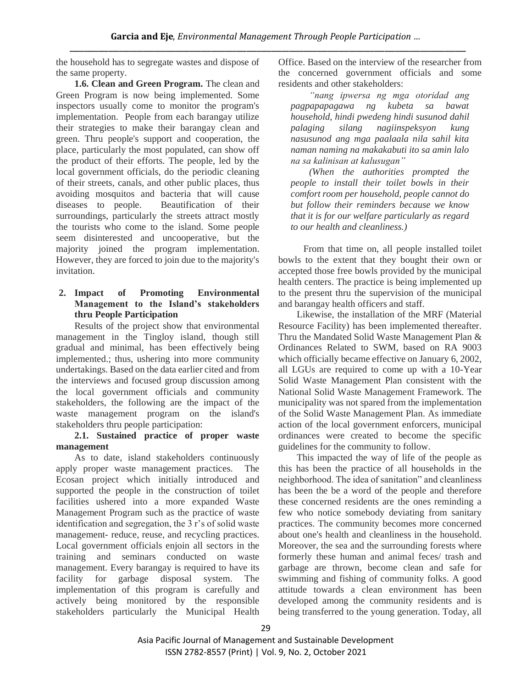the household has to segregate wastes and dispose of the same property.

**1.6. Clean and Green Program.** The clean and Green Program is now being implemented. Some inspectors usually come to monitor the program's implementation. People from each barangay utilize their strategies to make their barangay clean and green. Thru people's support and cooperation, the place, particularly the most populated, can show off the product of their efforts. The people, led by the local government officials, do the periodic cleaning of their streets, canals, and other public places, thus avoiding mosquitos and bacteria that will cause diseases to people. Beautification of their surroundings, particularly the streets attract mostly the tourists who come to the island. Some people seem disinterested and uncooperative, but the majority joined the program implementation. However, they are forced to join due to the majority's invitation.

# **2. Impact of Promoting Environmental Management to the Island's stakeholders thru People Participation**

Results of the project show that environmental management in the Tingloy island, though still gradual and minimal, has been effectively being implemented.; thus, ushering into more community undertakings. Based on the data earlier cited and from the interviews and focused group discussion among the local government officials and community stakeholders, the following are the impact of the waste management program on the island's stakeholders thru people participation:

# **2.1. Sustained practice of proper waste management**

As to date, island stakeholders continuously apply proper waste management practices. The Ecosan project which initially introduced and supported the people in the construction of toilet facilities ushered into a more expanded Waste Management Program such as the practice of waste identification and segregation, the 3 r's of solid waste management- reduce, reuse, and recycling practices. Local government officials enjoin all sectors in the training and seminars conducted on waste management. Every barangay is required to have its facility for garbage disposal system. The implementation of this program is carefully and actively being monitored by the responsible stakeholders particularly the Municipal Health

Office. Based on the interview of the researcher from the concerned government officials and some residents and other stakeholders:

*"nang ipwersa ng mga otoridad ang pagpapapagawa ng kubeta sa bawat household, hindi pwedeng hindi susunod dahil palaging silang nagiinspeksyon kung nasusunod ang mga paalaala nila sahil kita naman naming na makakabuti ito sa amin lalo na sa kalinisan at kalusugan"* 

*(When the authorities prompted the people to install their toilet bowls in their comfort room per household, people cannot do but follow their reminders because we know that it is for our welfare particularly as regard to our health and cleanliness.)* 

From that time on, all people installed toilet bowls to the extent that they bought their own or accepted those free bowls provided by the municipal health centers. The practice is being implemented up to the present thru the supervision of the municipal and barangay health officers and staff.

Likewise, the installation of the MRF (Material Resource Facility) has been implemented thereafter. Thru the Mandated Solid Waste Management Plan & Ordinances Related to SWM, based on RA 9003 which officially became effective on January 6, 2002, all LGUs are required to come up with a 10-Year Solid Waste Management Plan consistent with the National Solid Waste Management Framework. The municipality was not spared from the implementation of the Solid Waste Management Plan. As immediate action of the local government enforcers, municipal ordinances were created to become the specific guidelines for the community to follow.

This impacted the way of life of the people as this has been the practice of all households in the neighborhood. The idea of sanitation" and cleanliness has been the be a word of the people and therefore these concerned residents are the ones reminding a few who notice somebody deviating from sanitary practices. The community becomes more concerned about one's health and cleanliness in the household. Moreover, the sea and the surrounding forests where formerly these human and animal feces/ trash and garbage are thrown, become clean and safe for swimming and fishing of community folks. A good attitude towards a clean environment has been developed among the community residents and is being transferred to the young generation. Today, all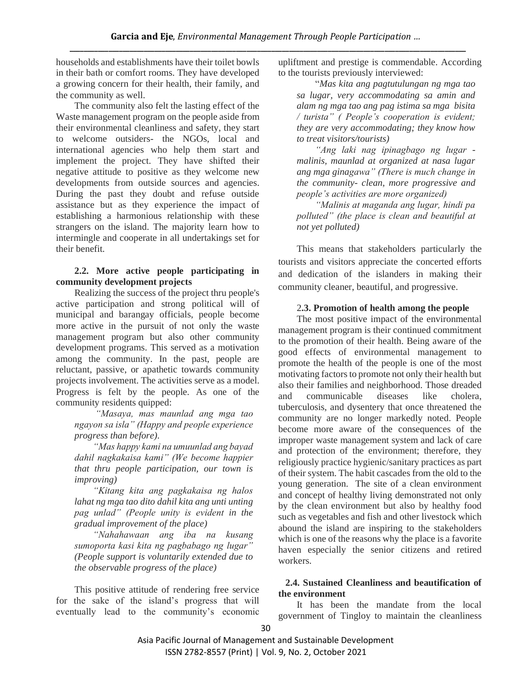households and establishments have their toilet bowls in their bath or comfort rooms. They have developed a growing concern for their health, their family, and the community as well.

The community also felt the lasting effect of the Waste management program on the people aside from their environmental cleanliness and safety, they start to welcome outsiders- the NGOs, local and international agencies who help them start and implement the project. They have shifted their negative attitude to positive as they welcome new developments from outside sources and agencies. During the past they doubt and refuse outside assistance but as they experience the impact of establishing a harmonious relationship with these strangers on the island. The majority learn how to intermingle and cooperate in all undertakings set for their benefit.

# **2.2. More active people participating in community development projects**

Realizing the success of the project thru people's active participation and strong political will of municipal and barangay officials, people become more active in the pursuit of not only the waste management program but also other community development programs. This served as a motivation among the community. In the past, people are reluctant, passive, or apathetic towards community projects involvement. The activities serve as a model. Progress is felt by the people. As one of the community residents quipped:

*"Masaya, mas maunlad ang mga tao ngayon sa isla" (Happy and people experience progress than before).* 

*"Mas happy kami na umuunlad ang bayad dahil nagkakaisa kami" (We become happier that thru people participation, our town is improving)*

*"Kitang kita ang pagkakaisa ng halos lahat ng mga tao dito dahil kita ang unti unting pag unlad" (People unity is evident in the gradual improvement of the place)*

*"Nahahawaan ang iba na kusang sumoporta kasi kita ng pagbabago ng lugar" (People support is voluntarily extended due to the observable progress of the place)* 

This positive attitude of rendering free service for the sake of the island's progress that will eventually lead to the community's economic upliftment and prestige is commendable. According to the tourists previously interviewed:

"*Mas kita ang pagtutulungan ng mga tao sa lugar, very accommodating sa amin and alam ng mga tao ang pag istima sa mga bisita / turista" ( People's cooperation is evident; they are very accommodating; they know how to treat visitors/tourists)*

*"Ang laki nag ipinagbago ng lugar malinis, maunlad at organized at nasa lugar ang mga ginagawa" (There is much change in the community- clean, more progressive and people's activities are more organized)*

*"Malinis at maganda ang lugar, hindi pa polluted" (the place is clean and beautiful at not yet polluted)*

This means that stakeholders particularly the tourists and visitors appreciate the concerted efforts and dedication of the islanders in making their community cleaner, beautiful, and progressive.

# 2**.3. Promotion of health among the people**

The most positive impact of the environmental management program is their continued commitment to the promotion of their health. Being aware of the good effects of environmental management to promote the health of the people is one of the most motivating factors to promote not only their health but also their families and neighborhood. Those dreaded and communicable diseases like cholera, tuberculosis, and dysentery that once threatened the community are no longer markedly noted. People become more aware of the consequences of the improper waste management system and lack of care and protection of the environment; therefore, they religiously practice hygienic/sanitary practices as part of their system. The habit cascades from the old to the young generation. The site of a clean environment and concept of healthy living demonstrated not only by the clean environment but also by healthy food such as vegetables and fish and other livestock which abound the island are inspiring to the stakeholders which is one of the reasons why the place is a favorite haven especially the senior citizens and retired workers.

## **2.4. Sustained Cleanliness and beautification of the environment**

It has been the mandate from the local government of Tingloy to maintain the cleanliness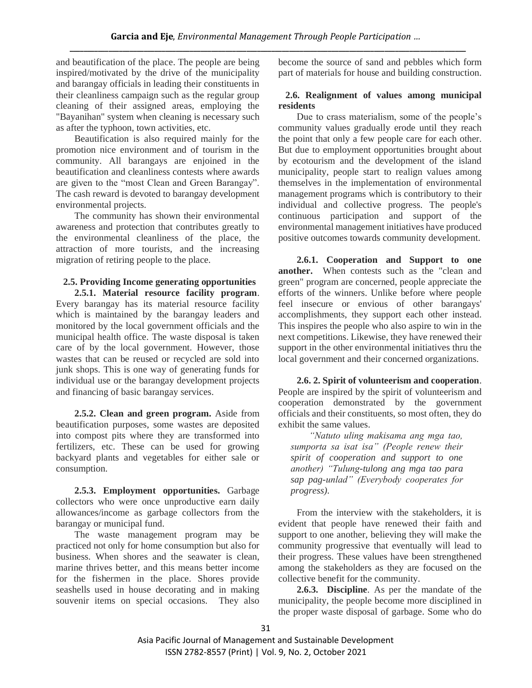and beautification of the place. The people are being inspired/motivated by the drive of the municipality and barangay officials in leading their constituents in their cleanliness campaign such as the regular group cleaning of their assigned areas, employing the "Bayanihan" system when cleaning is necessary such as after the typhoon, town activities, etc.

Beautification is also required mainly for the promotion nice environment and of tourism in the community. All barangays are enjoined in the beautification and cleanliness contests where awards are given to the "most Clean and Green Barangay". The cash reward is devoted to barangay development environmental projects.

The community has shown their environmental awareness and protection that contributes greatly to the environmental cleanliness of the place, the attraction of more tourists, and the increasing migration of retiring people to the place.

# **2.5. Providing Income generating opportunities**

**2.5.1. Material resource facility program**. Every barangay has its material resource facility which is maintained by the barangay leaders and monitored by the local government officials and the municipal health office. The waste disposal is taken care of by the local government. However, those wastes that can be reused or recycled are sold into junk shops. This is one way of generating funds for individual use or the barangay development projects and financing of basic barangay services.

**2.5.2. Clean and green program.** Aside from beautification purposes, some wastes are deposited into compost pits where they are transformed into fertilizers, etc. These can be used for growing backyard plants and vegetables for either sale or consumption.

**2.5.3. Employment opportunities.** Garbage collectors who were once unproductive earn daily allowances/income as garbage collectors from the barangay or municipal fund.

The waste management program may be practiced not only for home consumption but also for business. When shores and the seawater is clean, marine thrives better, and this means better income for the fishermen in the place. Shores provide seashells used in house decorating and in making souvenir items on special occasions. They also become the source of sand and pebbles which form part of materials for house and building construction.

# **2.6. Realignment of values among municipal residents**

Due to crass materialism, some of the people's community values gradually erode until they reach the point that only a few people care for each other. But due to employment opportunities brought about by ecotourism and the development of the island municipality, people start to realign values among themselves in the implementation of environmental management programs which is contributory to their individual and collective progress. The people's continuous participation and support of the environmental management initiatives have produced positive outcomes towards community development.

**2.6.1. Cooperation and Support to one another.** When contests such as the "clean and green" program are concerned, people appreciate the efforts of the winners. Unlike before where people feel insecure or envious of other barangays' accomplishments, they support each other instead. This inspires the people who also aspire to win in the next competitions. Likewise, they have renewed their support in the other environmental initiatives thru the local government and their concerned organizations.

**2.6. 2. Spirit of volunteerism and cooperation**. People are inspired by the spirit of volunteerism and cooperation demonstrated by the government officials and their constituents, so most often, they do exhibit the same values.

*"Natuto uling makisama ang mga tao, sumporta sa isat isa" (People renew their spirit of cooperation and support to one another) "Tulung-tulong ang mga tao para sap pag-unlad" (Everybody cooperates for progress).*

From the interview with the stakeholders, it is evident that people have renewed their faith and support to one another, believing they will make the community progressive that eventually will lead to their progress. These values have been strengthened among the stakeholders as they are focused on the collective benefit for the community.

**2.6.3. Discipline**. As per the mandate of the municipality, the people become more disciplined in the proper waste disposal of garbage. Some who do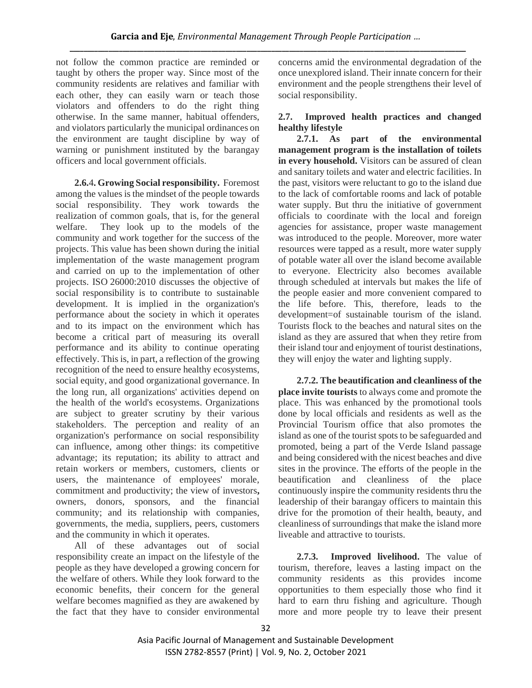not follow the common practice are reminded or taught by others the proper way. Since most of the community residents are relatives and familiar with each other, they can easily warn or teach those violators and offenders to do the right thing otherwise. In the same manner, habitual offenders, and violators particularly the municipal ordinances on the environment are taught discipline by way of warning or punishment instituted by the barangay officers and local government officials.

**2.6.**4**. Growing Social responsibility.** Foremost among the values is the mindset of the people towards social responsibility. They work towards the realization of common goals, that is, for the general welfare. They look up to the models of the community and work together for the success of the projects. This value has been shown during the initial implementation of the waste management program and carried on up to the implementation of other projects. ISO 26000:2010 discusses the objective of social responsibility is to contribute to sustainable development. It is implied in the organization's performance about the society in which it operates and to its impact on the environment which has become a critical part of measuring its overall performance and its ability to continue operating effectively. This is, in part, a reflection of the growing recognition of the need to ensure healthy ecosystems, social equity, and good organizational governance. In the long run, all organizations' activities depend on the health of the world's ecosystems. Organizations are subject to greater scrutiny by their various stakeholders. The perception and reality of an organization's performance on social responsibility can influence, among other things: its competitive advantage; its reputation; its ability to attract and retain workers or members, customers, clients or users, the maintenance of employees' morale, commitment and productivity; the view of investors**,** owners, donors, sponsors, and the financial community; and its relationship with companies, governments, the media, suppliers, peers, customers and the community in which it operates.

All of these advantages out of social responsibility create an impact on the lifestyle of the people as they have developed a growing concern for the welfare of others. While they look forward to the economic benefits, their concern for the general welfare becomes magnified as they are awakened by the fact that they have to consider environmental concerns amid the environmental degradation of the once unexplored island. Their innate concern for their environment and the people strengthens their level of social responsibility.

# **2.7. Improved health practices and changed healthy lifestyle**

**2.7.1. As part of the environmental management program is the installation of toilets in every household.** Visitors can be assured of clean and sanitary toilets and water and electric facilities. In the past, visitors were reluctant to go to the island due to the lack of comfortable rooms and lack of potable water supply. But thru the initiative of government officials to coordinate with the local and foreign agencies for assistance, proper waste management was introduced to the people. Moreover, more water resources were tapped as a result, more water supply of potable water all over the island become available to everyone. Electricity also becomes available through scheduled at intervals but makes the life of the people easier and more convenient compared to the life before. This, therefore, leads to the development=of sustainable tourism of the island. Tourists flock to the beaches and natural sites on the island as they are assured that when they retire from their island tour and enjoyment of tourist destinations, they will enjoy the water and lighting supply.

**2.7.2. The beautification and cleanliness of the place invite tourists** to always come and promote the place. This was enhanced by the promotional tools done by local officials and residents as well as the Provincial Tourism office that also promotes the island as one of the tourist spots to be safeguarded and promoted, being a part of the Verde Island passage and being considered with the nicest beaches and dive sites in the province. The efforts of the people in the beautification and cleanliness of the place continuously inspire the community residents thru the leadership of their barangay officers to maintain this drive for the promotion of their health, beauty, and cleanliness of surroundings that make the island more liveable and attractive to tourists.

**2.7.3. Improved livelihood.** The value of tourism, therefore, leaves a lasting impact on the community residents as this provides income opportunities to them especially those who find it hard to earn thru fishing and agriculture. Though more and more people try to leave their present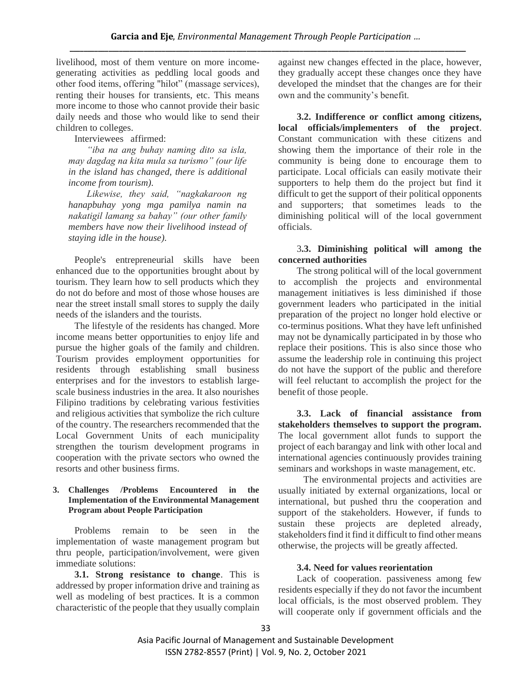livelihood, most of them venture on more incomegenerating activities as peddling local goods and other food items, offering "hilot" (massage services), renting their houses for transients, etc. This means more income to those who cannot provide their basic daily needs and those who would like to send their children to colleges.

Interviewees affirmed:

*"iba na ang buhay naming dito sa isla, may dagdag na kita mula sa turismo" (our life in the island has changed, there is additional income from tourism).*

*Likewise, they said, "nagkakaroon ng hanapbuhay yong mga pamilya namin na nakatigil lamang sa bahay" (our other family members have now their livelihood instead of staying idle in the house).* 

People's entrepreneurial skills have been enhanced due to the opportunities brought about by tourism. They learn how to sell products which they do not do before and most of those whose houses are near the street install small stores to supply the daily needs of the islanders and the tourists.

The lifestyle of the residents has changed. More income means better opportunities to enjoy life and pursue the higher goals of the family and children. Tourism provides employment opportunities for residents through establishing small business enterprises and for the investors to establish largescale business industries in the area. It also nourishes Filipino traditions by celebrating various festivities and religious activities that symbolize the rich culture of the country. The researchers recommended that the Local Government Units of each municipality strengthen the tourism development programs in cooperation with the private sectors who owned the resorts and other business firms.

#### **3. Challenges /Problems Encountered in the Implementation of the Environmental Management Program about People Participation**

Problems remain to be seen in the implementation of waste management program but thru people, participation/involvement, were given immediate solutions:

**3.1. Strong resistance to change**. This is addressed by proper information drive and training as well as modeling of best practices. It is a common characteristic of the people that they usually complain against new changes effected in the place, however, they gradually accept these changes once they have developed the mindset that the changes are for their own and the community's benefit.

**3.2. Indifference or conflict among citizens, local officials/implementers of the project**. Constant communication with these citizens and showing them the importance of their role in the community is being done to encourage them to participate. Local officials can easily motivate their supporters to help them do the project but find it difficult to get the support of their political opponents and supporters; that sometimes leads to the diminishing political will of the local government officials.

3**.3. Diminishing political will among the concerned authorities**

The strong political will of the local government to accomplish the projects and environmental management initiatives is less diminished if those government leaders who participated in the initial preparation of the project no longer hold elective or co-terminus positions. What they have left unfinished may not be dynamically participated in by those who replace their positions. This is also since those who assume the leadership role in continuing this project do not have the support of the public and therefore will feel reluctant to accomplish the project for the benefit of those people.

**3.3. Lack of financial assistance from stakeholders themselves to support the program.** The local government allot funds to support the project of each barangay and link with other local and international agencies continuously provides training seminars and workshops in waste management, etc.

The environmental projects and activities are usually initiated by external organizations, local or international, but pushed thru the cooperation and support of the stakeholders. However, if funds to sustain these projects are depleted already, stakeholders find it find it difficult to find other means otherwise, the projects will be greatly affected.

## **3.4. Need for values reorientation**

Lack of cooperation. passiveness among few residents especially if they do not favor the incumbent local officials, is the most observed problem. They will cooperate only if government officials and the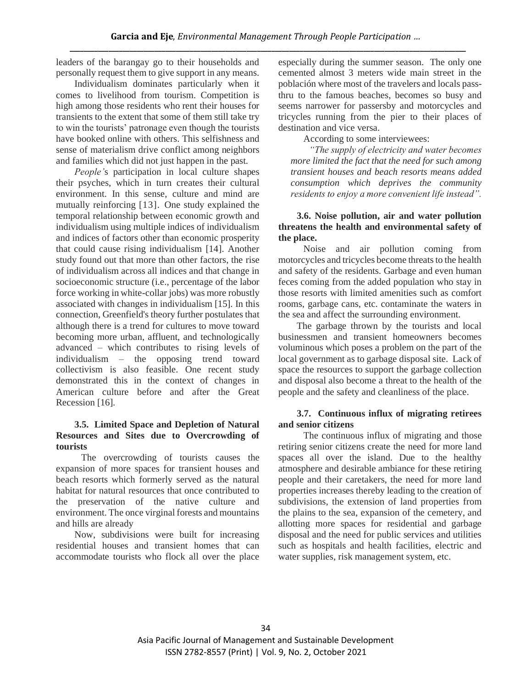leaders of the barangay go to their households and personally request them to give support in any means.

Individualism dominates particularly when it comes to livelihood from tourism. Competition is high among those residents who rent their houses for transients to the extent that some of them still take try to win the tourists' patronage even though the tourists have booked online with others. This selfishness and sense of materialism drive conflict among neighbors and families which did not just happen in the past.

*People'*s participation in local culture shapes their psyches, which in turn creates their cultural environment. In this sense, culture and mind are mutually reinforcing [13]. One study explained the temporal relationship between economic growth and individualism using multiple indices of individualism and indices of factors other than economic prosperity that could cause rising individualism [14]. Another study found out that more than other factors, the rise of individualism across all indices and that change in socioeconomic structure (i.e., percentage of the labor force working in white-collar jobs) was more robustly associated with changes in individualism [15]. In this connection, Greenfield's theory further postulates that although there is a trend for cultures to move toward becoming more urban, affluent, and technologically advanced – which contributes to rising levels of individualism – the opposing trend toward collectivism is also feasible. One recent study demonstrated this in the context of changes in American culture before and after the Great Recession [16].

## **3.5. Limited Space and Depletion of Natural Resources and Sites due to Overcrowding of tourists**

The overcrowding of tourists causes the expansion of more spaces for transient houses and beach resorts which formerly served as the natural habitat for natural resources that once contributed to the preservation of the native culture and environment. The once virginal forests and mountains and hills are already

Now, subdivisions were built for increasing residential houses and transient homes that can accommodate tourists who flock all over the place

especially during the summer season. The only one cemented almost 3 meters wide main street in the población where most of the travelers and locals passthru to the famous beaches, becomes so busy and seems narrower for passersby and motorcycles and tricycles running from the pier to their places of destination and vice versa.

According to some interviewees:

*"The supply of electricity and water becomes more limited the fact that the need for such among transient houses and beach resorts means added consumption which deprives the community residents to enjoy a more convenient life instead".*

# **3.6. Noise pollution, air and water pollution threatens the health and environmental safety of the place.**

Noise and air pollution coming from motorcycles and tricycles become threats to the health and safety of the residents. Garbage and even human feces coming from the added population who stay in those resorts with limited amenities such as comfort rooms, garbage cans, etc. contaminate the waters in the sea and affect the surrounding environment.

The garbage thrown by the tourists and local businessmen and transient homeowners becomes voluminous which poses a problem on the part of the local government as to garbage disposal site. Lack of space the resources to support the garbage collection and disposal also become a threat to the health of the people and the safety and cleanliness of the place.

# **3.7. Continuous influx of migrating retirees and senior citizens**

The continuous influx of migrating and those retiring senior citizens create the need for more land spaces all over the island. Due to the healthy atmosphere and desirable ambiance for these retiring people and their caretakers, the need for more land properties increases thereby leading to the creation of subdivisions, the extension of land properties from the plains to the sea, expansion of the cemetery, and allotting more spaces for residential and garbage disposal and the need for public services and utilities such as hospitals and health facilities, electric and water supplies, risk management system, etc.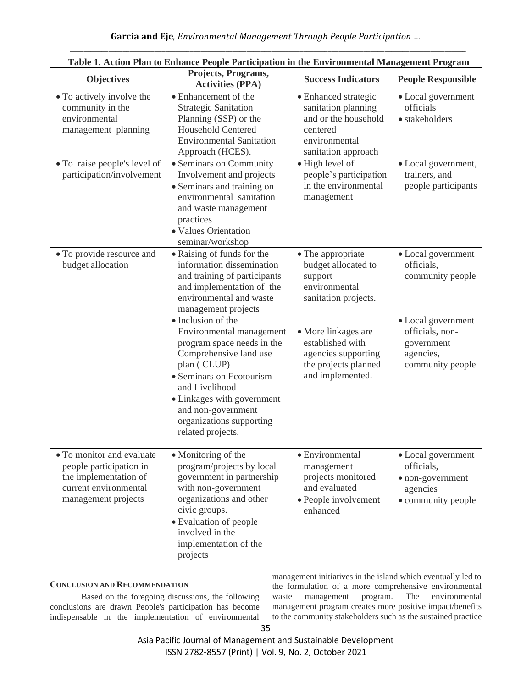**Garcia and Eje**, *Environmental Management Through People Participation …* **\_\_\_\_\_\_\_\_\_\_\_\_\_\_\_\_\_\_\_\_\_\_\_\_\_\_\_\_\_\_\_\_\_\_\_\_\_\_\_\_\_\_\_\_\_\_\_\_\_\_\_\_\_\_\_\_\_\_\_\_\_\_\_\_\_\_\_\_\_\_\_\_\_\_\_\_\_\_\_\_\_\_\_\_\_\_\_\_\_\_\_\_\_\_\_\_\_\_\_\_\_\_\_\_\_\_\_\_\_\_\_\_**

| Table 1. Action Plan to Enhance People Participation in the Environmental Management Program                                  |                                                                                                                                                                                                                                                                          |                                                                                                                         |                                                                                        |
|-------------------------------------------------------------------------------------------------------------------------------|--------------------------------------------------------------------------------------------------------------------------------------------------------------------------------------------------------------------------------------------------------------------------|-------------------------------------------------------------------------------------------------------------------------|----------------------------------------------------------------------------------------|
| <b>Objectives</b>                                                                                                             | Projects, Programs,<br><b>Activities (PPA)</b>                                                                                                                                                                                                                           | <b>Success Indicators</b>                                                                                               | <b>People Responsible</b>                                                              |
| • To actively involve the<br>community in the<br>environmental<br>management planning                                         | • Enhancement of the<br><b>Strategic Sanitation</b><br>Planning (SSP) or the<br><b>Household Centered</b><br><b>Environmental Sanitation</b><br>Approach (HCES).                                                                                                         | • Enhanced strategic<br>sanitation planning<br>and or the household<br>centered<br>environmental<br>sanitation approach | • Local government<br>officials<br>· stakeholders                                      |
| • To raise people's level of<br>participation/involvement                                                                     | • Seminars on Community<br>Involvement and projects<br>• Seminars and training on<br>environmental sanitation<br>and waste management<br>practices<br>· Values Orientation<br>seminar/workshop                                                                           | • High level of<br>people's participation<br>in the environmental<br>management                                         | • Local government,<br>trainers, and<br>people participants                            |
| • To provide resource and<br>budget allocation                                                                                | • Raising of funds for the<br>information dissemination<br>and training of participants<br>and implementation of the<br>environmental and waste<br>management projects                                                                                                   | • The appropriate<br>budget allocated to<br>support<br>environmental<br>sanitation projects.                            | · Local government<br>officials.<br>community people                                   |
|                                                                                                                               | • Inclusion of the<br>Environmental management<br>program space needs in the<br>Comprehensive land use<br>plan (CLUP)<br>• Seminars on Ecotourism<br>and Livelihood<br>• Linkages with government<br>and non-government<br>organizations supporting<br>related projects. | • More linkages are<br>established with<br>agencies supporting<br>the projects planned<br>and implemented.              | • Local government<br>officials, non-<br>government<br>agencies,<br>community people   |
| • To monitor and evaluate<br>people participation in<br>the implementation of<br>current environmental<br>management projects | • Monitoring of the<br>program/projects by local<br>government in partnership<br>with non-government<br>organizations and other<br>civic groups.<br>• Evaluation of people<br>involved in the<br>implementation of the<br>projects                                       | · Environmental<br>management<br>projects monitored<br>and evaluated<br>• People involvement<br>enhanced                | • Local government<br>officials,<br>• non-government<br>agencies<br>• community people |

#### **Table 1. Action Plan to Enhance People Participation in the Environmental Management Program**

#### **CONCLUSION AND RECOMMENDATION**

Based on the foregoing discussions, the following conclusions are drawn People's participation has become indispensable in the implementation of environmental management initiatives in the island which eventually led to the formulation of a more comprehensive environmental waste management program. The environmental management program creates more positive impact/benefits to the community stakeholders such as the sustained practice

Asia Pacific Journal of Management and Sustainable Development ISSN 2782-8557 (Print) | Vol. 9, No. 2, October 2021